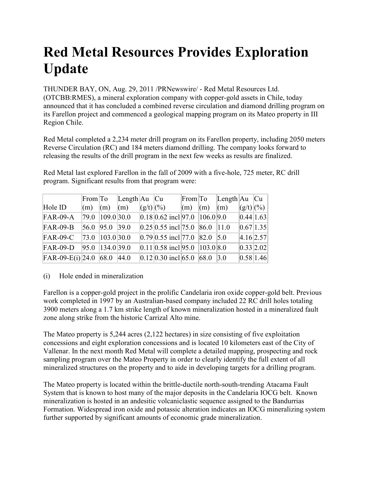## **Red Metal Resources Provides Exploration Update**

THUNDER BAY, ON, Aug. 29, 2011 /PRNewswire/ - Red Metal Resources Ltd. (OTCBB:RMES), a mineral exploration company with copper-gold assets in Chile, today announced that it has concluded a combined reverse circulation and diamond drilling program on its Farellon project and commenced a geological mapping program on its Mateo property in III Region Chile.

Red Metal completed a 2,234 meter drill program on its Farellon property, including 2050 meters Reverse Circulation (RC) and 184 meters diamond drilling. The company looks forward to releasing the results of the drill program in the next few weeks as results are finalized.

Red Metal last explored Farellon in the fall of 2009 with a five-hole, 725 meter, RC drill program. Significant results from that program were:

|                       |                         | $\text{From} \text{To}$   | Length $Au$ $Cu$ |                                      |                                     | $From  To  Length  Au   Cu $ |                  |           |
|-----------------------|-------------------------|---------------------------|------------------|--------------------------------------|-------------------------------------|------------------------------|------------------|-----------|
| Hole ID               | $\vert$ (m) $\vert$ (m) |                           | (m)              | $(g/t)$ (%)                          | $\vert$ (m) $\vert$ (m) $\vert$ (m) |                              | $  (g/t)   ($ %) |           |
| $FAR-09-A$            |                         | 79.0 109.0 30.0           |                  | $ 0.18 0.62$ incl $ 97.0 106.0 9.0$  |                                     |                              |                  | 0.44 1.63 |
| $FAR-09-B$            |                         | $ 56.0 \t  95.0 \t  39.0$ |                  | $ 0.25 0.55$ incl 75.0 86.0 11.0     |                                     |                              |                  | 0.67 1.35 |
| $FAR-09-C$            |                         | 73.0 103.0 30.0           |                  | $ 0.79 0.55$ incl. 77.0   82.0   5.0 |                                     |                              |                  | 4.16 2.57 |
| $FAR-09-D$            |                         | 95.0 134.0 39.0           |                  | $ 0.11 0.58$ incl 95.0 $ 103.0 8.0$  |                                     |                              |                  | 0.33 2.02 |
| FAR-09-E(i) 24.0 68.0 |                         |                           | 44.0             | $ 0.12 0.30$ incl 65.0 68.0 3.0      |                                     |                              |                  | 0.58 1.46 |

## (i) Hole ended in mineralization

Farellon is a copper-gold project in the prolific Candelaria iron oxide copper-gold belt. Previous work completed in 1997 by an Australian-based company included 22 RC drill holes totaling 3900 meters along a 1.7 km strike length of known mineralization hosted in a mineralized fault zone along strike from the historic Carrizal Alto mine.

The Mateo property is 5,244 acres (2,122 hectares) in size consisting of five exploitation concessions and eight exploration concessions and is located 10 kilometers east of the City of Vallenar. In the next month Red Metal will complete a detailed mapping, prospecting and rock sampling program over the Mateo Property in order to clearly identify the full extent of all mineralized structures on the property and to aide in developing targets for a drilling program.

The Mateo property is located within the brittle-ductile north-south-trending Atacama Fault System that is known to host many of the major deposits in the Candelaria IOCG belt. Known mineralization is hosted in an andesitic volcaniclastic sequence assigned to the Bandurrias Formation. Widespread iron oxide and potassic alteration indicates an IOCG mineralizing system further supported by significant amounts of economic grade mineralization.